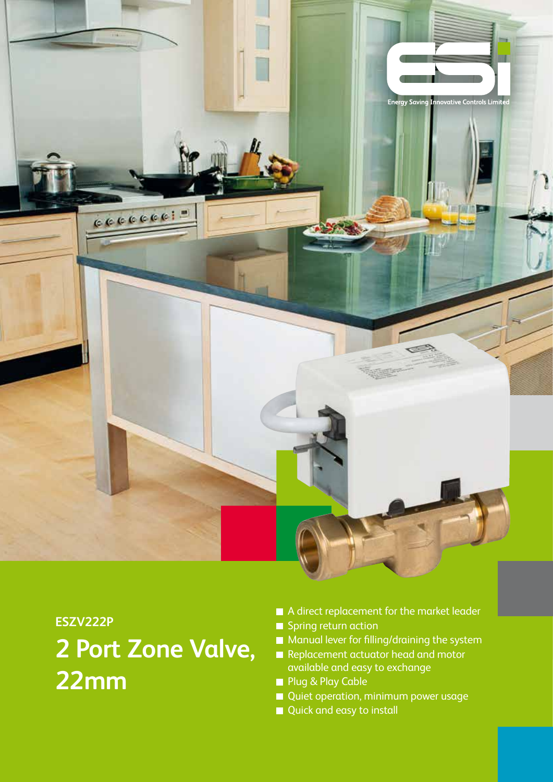

# **ESZV222P**

# **2 Port Zone Valve, 22mm**

- A direct replacement for the market leader Spring return action
- **Manual lever for filling/draining the system**
- Replacement actuator head and motor available and easy to exchange
- **Plug & Play Cable**
- Quiet operation, minimum power usage
- Quick and easy to install